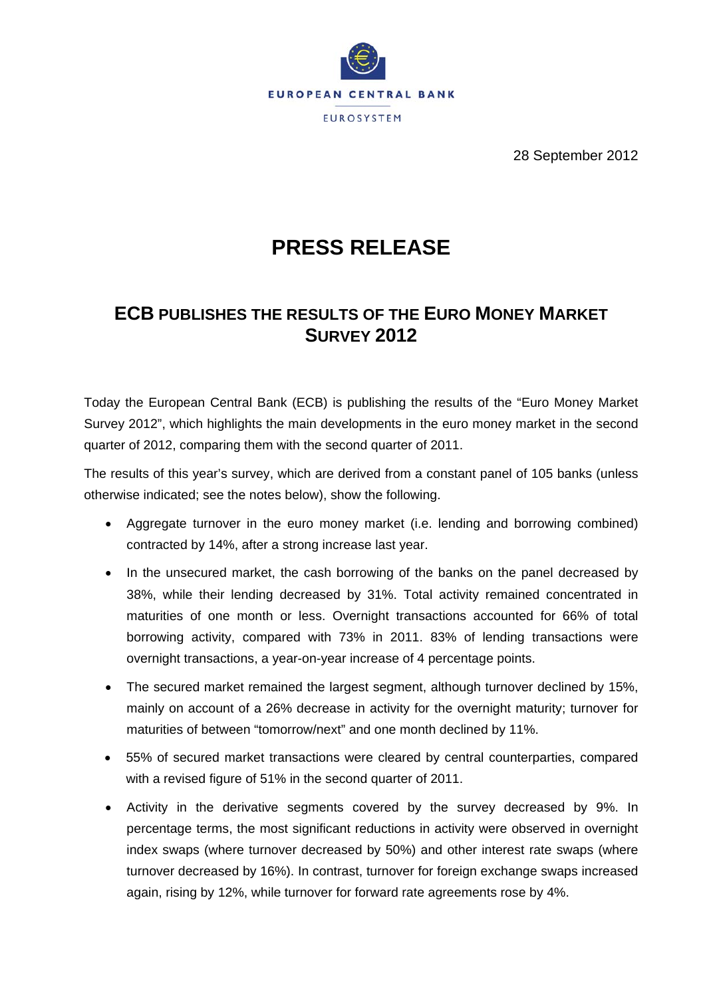

28 September 2012

## **PRESS RELEASE**

## **ECB PUBLISHES THE RESULTS OF THE EURO MONEY MARKET SURVEY 2012**

Today the European Central Bank (ECB) is publishing the results of the "Euro Money Market Survey 2012", which highlights the main developments in the euro money market in the second quarter of 2012, comparing them with the second quarter of 2011.

The results of this year's survey, which are derived from a constant panel of 105 banks (unless otherwise indicated; see the notes below), show the following.

- Aggregate turnover in the euro money market (i.e. lending and borrowing combined) contracted by 14%, after a strong increase last year.
- In the unsecured market, the cash borrowing of the banks on the panel decreased by 38%, while their lending decreased by 31%. Total activity remained concentrated in maturities of one month or less. Overnight transactions accounted for 66% of total borrowing activity, compared with 73% in 2011. 83% of lending transactions were overnight transactions, a year-on-year increase of 4 percentage points.
- The secured market remained the largest segment, although turnover declined by 15%, mainly on account of a 26% decrease in activity for the overnight maturity; turnover for maturities of between "tomorrow/next" and one month declined by 11%.
- 55% of secured market transactions were cleared by central counterparties, compared with a revised figure of 51% in the second quarter of 2011.
- Activity in the derivative segments covered by the survey decreased by 9%. In percentage terms, the most significant reductions in activity were observed in overnight index swaps (where turnover decreased by 50%) and other interest rate swaps (where turnover decreased by 16%). In contrast, turnover for foreign exchange swaps increased again, rising by 12%, while turnover for forward rate agreements rose by 4%.